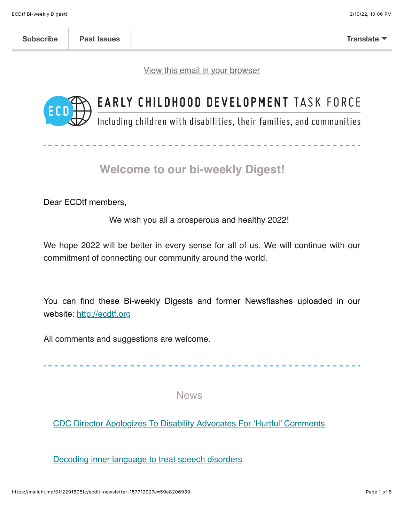[View this email in your browser](https://mailchi.mp/31f2291605fc/ecdtf-newsletter-15771292?e=59e8206939)



# EARLY CHILDHOOD DEVELOPMENT TASK FORCE

Including children with disabilities, their families, and communities

## **Welcome to our bi-weekly Digest!**

Dear ECDtf members,

We wish you all a prosperous and healthy 2022!

We hope 2022 will be better in every sense for all of us. We will continue with our commitment of connecting our community around the world.

You can find these Bi-weekly Digests and former Newsflashes uploaded in our website: [http://ecdtf.org](http://ecdtf.org/)

All comments and suggestions are welcome.

News

[CDC Director Apologizes To Disability Advocates For 'Hurtful' Comments](https://www.disabilityscoop.com/2022/01/18/cdc-director-apologizes-to-disability-advocates-for-hurtful-comments/29661/)

[Decoding inner language to treat speech disorders](https://www.sciencedaily.com/releases/2022/01/220112093712.htm)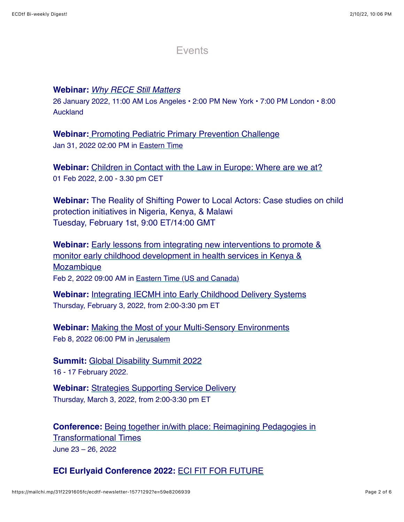#### Events

#### **Webinar:** *[Why RECE Still Matters](https://receinternational.org/rece-30th-anniversary-webinar-series/why-rece-still-matters/)*

26 January 2022, 11:00 AM Los Angeles • 2:00 PM New York • 7:00 PM London • 8:00 Auckland

**Webinar:** [Promoting Pediatric Primary Prevention Challenge](https://na01.safelinks.protection.outlook.com/?url=https%3A%2F%2Flnks.gd%2Fl%2FeyJhbGciOiJIUzI1NiJ9.eyJidWxsZXRpbl9saW5rX2lkIjoxMDEsInVyaSI6ImJwMjpjbGljayIsImJ1bGxldGluX2lkIjoiMjAyMjAxMTkuNTIwMzA4MjEiLCJ1cmwiOiJodHRwczovL21jaGIuaHJzYS5nb3YvZnVuZGluZy9jaGFsbGVuZ2UtY29tcGV0aXRpb25zL3A0Y2hhbGxlbmdlIn0.efqDvCj4p2nLZDVTkzuoC_8bAyZGQKZ8UEXuqX6_MiY%2Fs%2F148996450%2Fbr%2F125312600121-l&data=04%7C01%7C%7C09cfef8a87fa425cb77008d9db802ebd%7C84df9e7fe9f640afb435aaaaaaaaaaaa%7C1%7C0%7C637782165867670317%7CUnknown%7CTWFpbGZsb3d8eyJWIjoiMC4wLjAwMDAiLCJQIjoiV2luMzIiLCJBTiI6Ik1haWwiLCJXVCI6Mn0%3D%7C3000&sdata=3wicMVxf8gxUVqLl8%2FIDOOS6Hl8lpQef1J4be0Hm0es%3D&reserved=0) Jan 31, 2022 02:00 PM in Eastern Time

**Webinar:** [Children in Contact with the Law in Europe: Where are we at?](https://childhub.org/en/child-protection-webinars/children-contact-law-europe-where-are-we) 01 Feb 2022, 2.00 - 3.30 pm CET

**Webinar:** The Reality of Shifting Power to Local Actors: Case studies on child protection initiatives in Nigeria, Kenya, & Malawi Tuesday, February 1st, 9:00 ET/14:00 GMT

**Webinar:** Early lessons from integrating new interventions to promote & [monitor early childhood development in health services in Kenya &](https://us02web.zoom.us/webinar/register/WN_t99y69RWQIiI_5rx5LW_-A) **Mozambique** Feb 2, 2022 09:00 AM in Eastern Time (US and Canada)

**Webinar:** [Integrating IECMH into Early Childhood Delivery Systems](https://georgetown.zoom.us/webinar/register/WN_gsxGYL8uQsq-4BChOX1CGA?utm_medium=email&utm_source=email_link&utm_content=iecmh_webinar_promotion_01.18.2022&utm_campaign=Q2_2022_Policy+Center+Resources_Webinars) Thursday, February 3, 2022, from 2:00-3:30 pm ET

**Webinar:** [Making the Most of your Multi-Sensory Environments](https://us02web.zoom.us/webinar/register/WN_B4Dr-1tVTaCOq3dvGUisSQ) Feb 8, 2022 06:00 PM in Jerusalem

**Summit:** [Global Disability Summit 2022](https://www.globaldisabilitysummit.org/pages/global-disability-summit-2022-norway) 16 - 17 February 2022.

**Webinar:** [Strategies Supporting Service Delivery](https://georgetown.zoom.us/webinar/register/WN_gsxGYL8uQsq-4BChOX1CGA?utm_medium=email&utm_source=email_link&utm_content=iecmh_webinar_promotion_01.18.2022&utm_campaign=Q2_2022_Policy+Center+Resources_Webinars) Thursday, March 3, 2022, from 2:00-3:30 pm ET

**Conference:** [Being together in/with place: Reimagining Pedagogies in](https://receinternational.org/2022-call-for-proposals/) Transformational Times June 23 – 26, 2022

#### **ECI Eurlyaid Conference 2022:** [ECI FIT FOR FUTURE](https://www.eci2020prague.org/)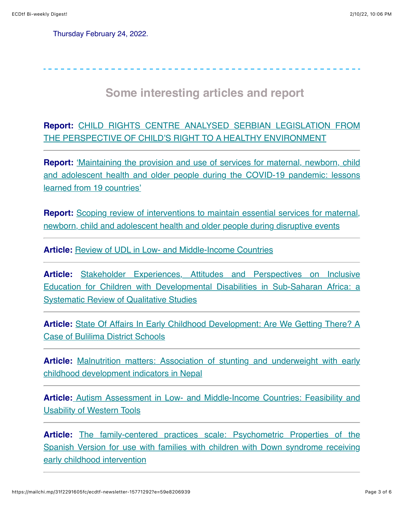Thursday February 24, 2022.

### **Some interesting articles and report**

**Report:** [CHILD RIGHTS CENTRE ANALYSED SERBIAN LEGISLATION FROM](https://cpd.org.rs/child-rights-centre-analysed-serbian-legislation-from-the-perspective-of-child-s-righ-to-a-healthy-environment/?lang=en) THE PERSPECTIVE OF CHILD'S RIGHT TO A HEALTHY ENVIRONMENT

**Report:** 'Maintaining the provision and use of services for maternal, newborn, child [and adolescent health and older people during the COVID-19 pandemic: lessons](https://apps.who.int/iris/handle/10665/351108) learned from 19 countries'

**Report:** Scoping review of interventions to maintain essential services for maternal, [newborn, child and adolescent health and older people during disruptive events](https://www.who.int/publications/i/item/9789240038318)

Article: [Review of UDL in Low- and Middle-Income Countries](https://www.cbm.org/fileadmin/user_upload/UDL_review_report_2021.pdf)

Article: Stakeholder Experiences, Attitudes and Perspectives on Inclusive [Education for Children with Developmental Disabilities in Sub-Saharan Africa: a](https://psyarxiv.com/9bf6m/) **Systematic Review of Qualitative Studies** 

**Article:** [State Of Affairs In Early Childhood Development: Are We Getting There? A](http://www.ijahss.com/Paper/07012022/1179451570.pdf) Case of Bulilima District Schools

**Article:** [Malnutrition matters: Association of stunting and underweight with early](https://onlinelibrary.wiley.com/doi/pdf/10.1111/mcn.13321) childhood development indicators in Nepal

**Article[:](https://journals.sagepub.com/doi/abs/10.1177/10883576211073691)** [Autism Assessment in Low- and Middle-Income Countries: Feasibility and](https://journals.sagepub.com/doi/abs/10.1177/10883576211073691) Usability of Western Tools

**Article:** The family-centered practices scale: Psychometric Properties of the [Spanish Version for use with families with children with Down syndrome receiving](https://onlinelibrary.wiley.com/doi/abs/10.1111/cch.12970) early childhood intervention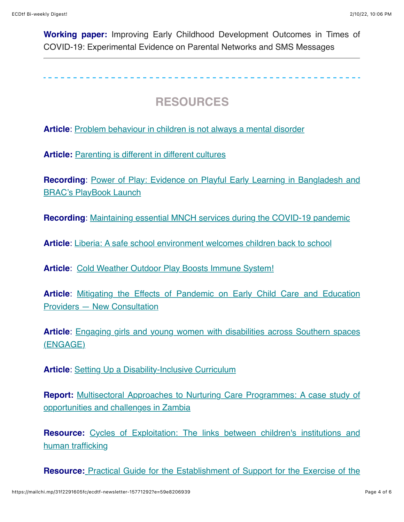**Working paper:** Improving Early Childhood Development Outcomes in Times of COVID-19: Experimental Evidence on Parental Networks and SMS Messages

 **RESOURCES** 

**Article**: [Problem behaviour in children is not always a mental disorder](https://thesector.com.au/2021/12/20/problem-behaviour-in-children-is-not-always-a-mental-disorder/?fbclid=IwAR1n_cCPxYvnXm2wpSDcJ8zk6nldQuFxVsWqzxukoRV06Xr-ovPBslhkp2Y)

Article: **[Parenting is different in different cultures](https://childandfamilyblog.com/cultural-parenting-child-development/)** 

**Recording**[: Power of Play: Evidence on Playful Early Learning in Bangladesh and](https://www.youtube.com/watch?v=YazFOXPZlbM) BRAC's PlayBook Launch

**Recording**: [Maintaining essential MNCH services during the COVID-19 pandemic](https://www.qualityofcarenetwork.org/webinars/series-6-webinar-3-maintaining-essential-mnch-services-during-covid-19-pandemic)

**Article**: [Liberia: A safe school environment welcomes children back to school](https://www.globalpartnership.org/blog/liberia-safe-school-environment-welcomes-children-back-school)

**Article**: [Cold Weather Outdoor Play Boosts Immune System!](https://www.med.upenn.edu/antibiotics/newsletters/2017_5.1_January.pdf)

**Article**[: Mitigating the Effects of Pandemic on Early Child Care and Education](https://www.nationalacademies.org/news/2022/01/mitigating-the-effects-of-pandemic-on-early-child-care-and-education-providers-new-consultation?utm_source=NASEM+News+and+Publications&utm_campaign=d7d99462b5-NAP_mail_new_2022_01_18&utm_medium=email&utm_term=0_96101de015-d7d99462b5-111515154&goal=0_96101de015-d7d99462b5-111515154&mc_cid=d7d99462b5&mc_eid=b8d72be06b) Providers — New Consultation

**Article**[: Engaging girls and young women with disabilities across Southern spaces](https://carleton.ca/ddsc/engage/) (ENGAGE)

**Article:** [Setting Up a Disability-Inclusive Curriculum](https://www.edutopia.org/article/setting-disability-inclusive-curriculum?utm_content=linkpos5&utm_medium=email&utm_campaign=weekly-2022-01-26-A&utm_source=edu-newsletter)

**Report:** [Multisectoral Approaches to Nurturing Care Programmes: A case study of](https://ecdan.org/assets/multisectoral-approaches-to-nurturing-care-programs.pdf) opportunities and challenges in Zambia

**Resource:** [Cycles of Exploitation: The links between children's institutions and](https://www.cyclesofexploitation.wearelumos.org/) human trafficking

**Resource:** [Practical Guide for the Establishment of Support for the Exercise of the](https://na01.safelinks.protection.outlook.com/?url=https%3A%2F%2Fwww.tacinterconnections.com%2Findex.php%2Fallnews%2Fpublications%2F3683-practical-guide-for-the-establishment-of-support-for-the-exercise-of-the-legal-capacity-of-persons-with-disabilities&data=04%7C01%7C%7C45b94cea5b9f41d1fafb08d9dbfd6b11%7C84df9e7fe9f640afb435aaaaaaaaaaaa%7C1%7C0%7C637782703754256308%7CUnknown%7CTWFpbGZsb3d8eyJWIjoiMC4wLjAwMDAiLCJQIjoiV2luMzIiLCJBTiI6Ik1haWwiLCJXVCI6Mn0%3D%7C3000&sdata=dvJhrXeOEDBg9QxAPHVNXVqoPIbwI0Nm%2BSD%2BgpzzyYI%3D&reserved=0)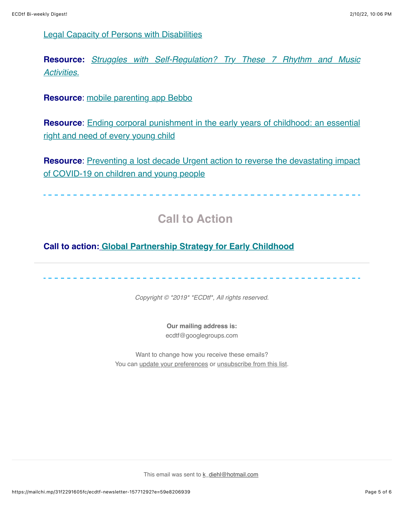[Legal Capacity of Persons with Disabilities](https://na01.safelinks.protection.outlook.com/?url=https%3A%2F%2Fwww.tacinterconnections.com%2Findex.php%2Fallnews%2Fpublications%2F3683-practical-guide-for-the-establishment-of-support-for-the-exercise-of-the-legal-capacity-of-persons-with-disabilities&data=04%7C01%7C%7C45b94cea5b9f41d1fafb08d9dbfd6b11%7C84df9e7fe9f640afb435aaaaaaaaaaaa%7C1%7C0%7C637782703754256308%7CUnknown%7CTWFpbGZsb3d8eyJWIjoiMC4wLjAwMDAiLCJQIjoiV2luMzIiLCJBTiI6Ik1haWwiLCJXVCI6Mn0%3D%7C3000&sdata=dvJhrXeOEDBg9QxAPHVNXVqoPIbwI0Nm%2BSD%2BgpzzyYI%3D&reserved=0)

**Resource:** *[Struggles with Self-Regulation? Try These 7 Rhythm and Music](https://earlychildhood.qld.gov.au/news/educators/struggles-with-self-regulation) Activitie[s.](https://earlychildhood.qld.gov.au/news/educators/struggles-with-self-regulation)*

**Resource**: [mobile parenting app Bebbo](https://www.unicef.org/eca/Bebbo-parenting-app)

**Resource:** Ending corporal punishment in the early years of childhood: an essential right and need of every young child

**Resource:** Preventing a lost decade Urgent action to reverse the devastating impact of COVID-19 on children and young people

## **Call to Action**

**Call to action: [Global Partnership Strategy for Early Childhood](https://mailchi.mp/f2931d8504dd/unesco_gps4ec)**

*Copyright © \*2019\* \*ECDtf\*, All rights reserved.*

**Our mailing address is:** ecdtf@googlegroups.com

Want to change how you receive these emails? You can [update your preferences](https://hotmail.us20.list-manage.com/profile?u=fdbb07179dc5a2d4ccfab37d9&id=3def6e1601&e=59e8206939) or [unsubscribe from this list.](https://hotmail.us20.list-manage.com/unsubscribe?u=fdbb07179dc5a2d4ccfab37d9&id=3def6e1601&e=59e8206939&c=a88e0a3912)

This email was sent to [k\\_diehl@hotmail.com](mailto:k_diehl@hotmail.com)